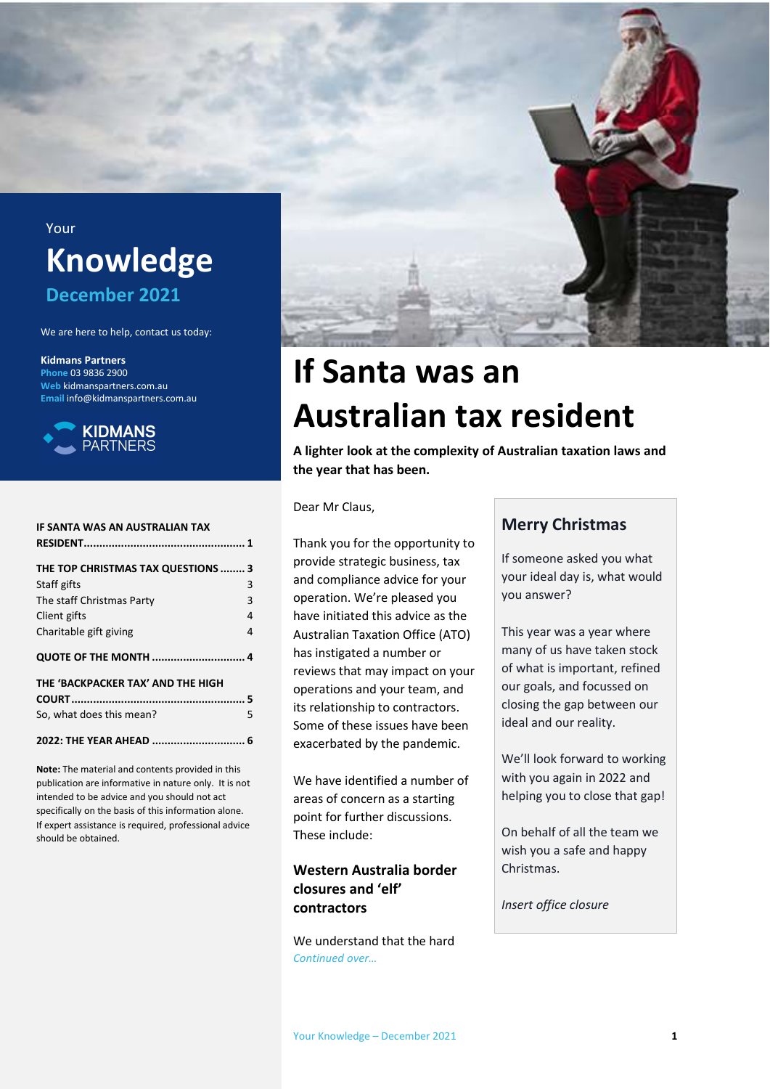

# Your **Knowledge December 2021**

We are here to help, contact us today:

#### **Kidmans Partners**

**Phone** 03 9836 2900 **Web** kidmanspartners.com.au **Email** info@kidmanspartners.com.au



| IF SANTA WAS AN AUSTRALIAN TAX     |   |
|------------------------------------|---|
| THE TOP CHRISTMAS TAX QUESTIONS  3 |   |
| Staff gifts                        | 3 |
| The staff Christmas Party          | 3 |
| Client gifts                       | 4 |
| Charitable gift giving             | 4 |
| <b>QUOTE OF THE MONTH  4</b>       |   |
| THE 'BACKPACKER TAX' AND THE HIGH  |   |
|                                    |   |
| So, what does this mean?           | 5 |
| 2022: THE YEAR AHEAD               | 6 |

**Note:** The material and contents provided in this publication are informative in nature only. It is not intended to be advice and you should not act specifically on the basis of this information alone. If expert assistance is required, professional advice should be obtained.

# **If Santa was an Australian tax resident**

**A lighter look at the complexity of Australian taxation laws and the year that has been.** 

Dear Mr Claus,

Thank you for the opportunity to provide strategic business, tax and compliance advice for your operation. We're pleased you have initiated this advice as the Australian Taxation Office (ATO) has instigated a number or reviews that may impact on your operations and your team, and its relationship to contractors. Some of these issues have been exacerbated by the pandemic.

We have identified a number of areas of concern as a starting point for further discussions. These include:

## **Western Australia border closures and 'elf' contractors**

We understand that the hard *Continued over…* 

## **Merry Christmas**

If someone asked you what your ideal day is, what would you answer?

This year was a year where many of us have taken stock of what is important, refined our goals, and focussed on closing the gap between our ideal and our reality.

We'll look forward to working with you again in 2022 and helping you to close that gap!

On behalf of all the team we wish you a safe and happy Christmas.

*Insert office closure*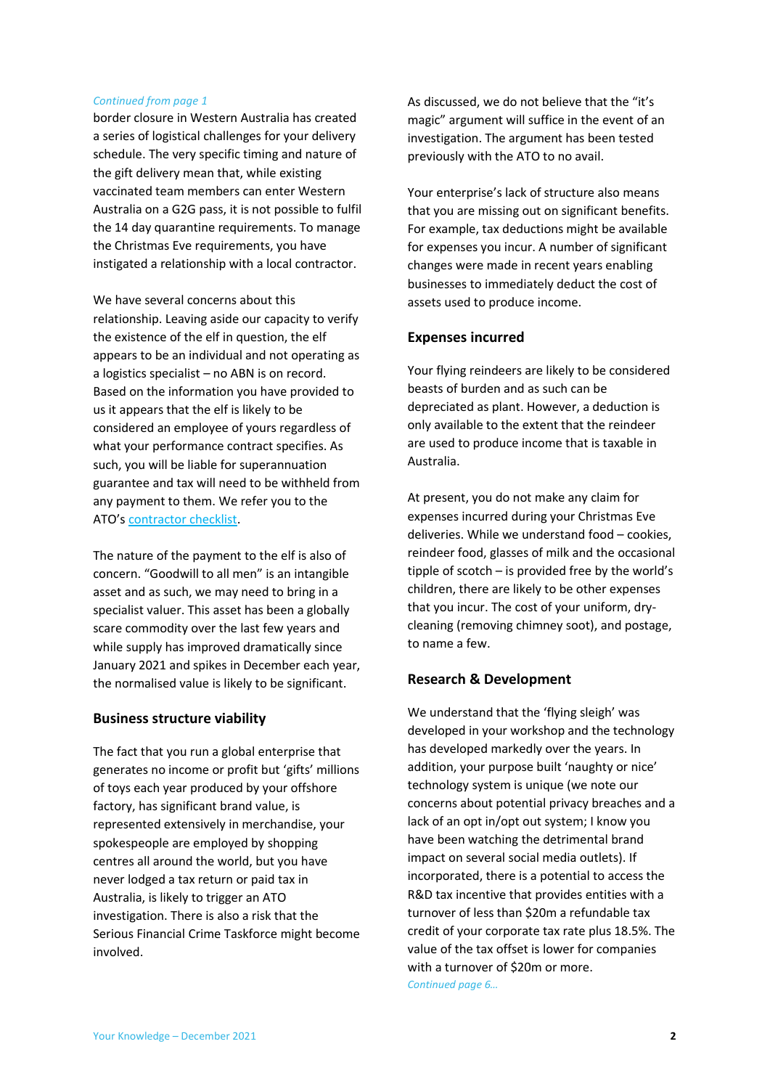#### *Continued from page 1*

border closure in Western Australia has created a series of logistical challenges for your delivery schedule. The very specific timing and nature of the gift delivery mean that, while existing vaccinated team members can enter Western Australia on a G2G pass, it is not possible to fulfil the 14 day quarantine requirements. To manage the Christmas Eve requirements, you have instigated a relationship with a local contractor.

We have several concerns about this relationship. Leaving aside our capacity to verify the existence of the elf in question, the elf appears to be an individual and not operating as a logistics specialist – no ABN is on record. Based on the information you have provided to us it appears that the elf is likely to be considered an employee of yours regardless of what your performance contract specifies. As such, you will be liable for superannuation guarantee and tax will need to be withheld from any payment to them. We refer you to the ATO's contractor checklist.

The nature of the payment to the elf is also of concern. "Goodwill to all men" is an intangible asset and as such, we may need to bring in a specialist valuer. This asset has been a globally scare commodity over the last few years and while supply has improved dramatically since January 2021 and spikes in December each year, the normalised value is likely to be significant.

## **Business structure viability**

The fact that you run a global enterprise that generates no income or profit but 'gifts' millions of toys each year produced by your offshore factory, has significant brand value, is represented extensively in merchandise, your spokespeople are employed by shopping centres all around the world, but you have never lodged a tax return or paid tax in Australia, is likely to trigger an ATO investigation. There is also a risk that the Serious Financial Crime Taskforce might become involved.

As discussed, we do not believe that the "it's magic" argument will suffice in the event of an investigation. The argument has been tested previously with the ATO to no avail.

Your enterprise's lack of structure also means that you are missing out on significant benefits. For example, tax deductions might be available for expenses you incur. A number of significant changes were made in recent years enabling businesses to immediately deduct the cost of assets used to produce income.

## **Expenses incurred**

Your flying reindeers are likely to be considered beasts of burden and as such can be depreciated as plant. However, a deduction is only available to the extent that the reindeer are used to produce income that is taxable in Australia.

At present, you do not make any claim for expenses incurred during your Christmas Eve deliveries. While we understand food – cookies, reindeer food, glasses of milk and the occasional tipple of scotch – is provided free by the world's children, there are likely to be other expenses that you incur. The cost of your uniform, drycleaning (removing chimney soot), and postage, to name a few.

## **Research & Development**

We understand that the 'flying sleigh' was developed in your workshop and the technology has developed markedly over the years. In addition, your purpose built 'naughty or nice' technology system is unique (we note our concerns about potential privacy breaches and a lack of an opt in/opt out system; I know you have been watching the detrimental brand impact on several social media outlets). If incorporated, there is a potential to access the R&D tax incentive that provides entities with a turnover of less than \$20m a refundable tax credit of your corporate tax rate plus 18.5%. The value of the tax offset is lower for companies with a turnover of \$20m or more. *Continued page 6…*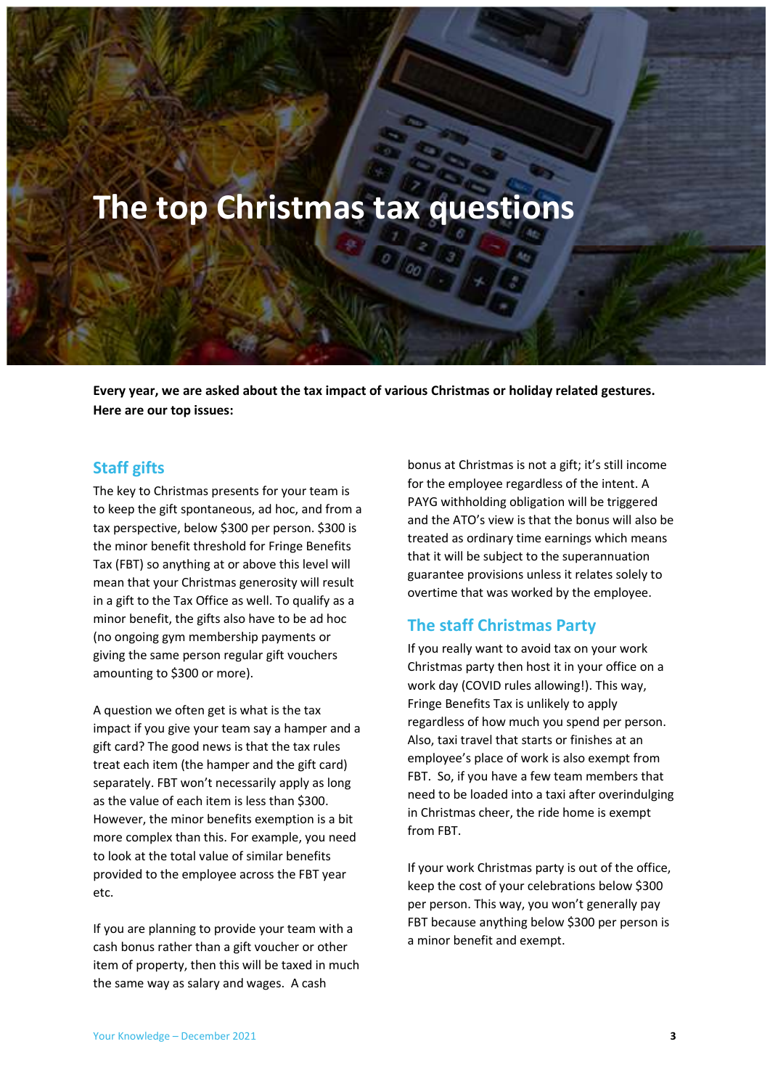# **The top Christmas tax questions**

**Every year, we are asked about the tax impact of various Christmas or holiday related gestures. Here are our top issues:** 

## **Staff gifts**

The key to Christmas presents for your team is to keep the gift spontaneous, ad hoc, and from a tax perspective, below \$300 per person. \$300 is the minor benefit threshold for Fringe Benefits Tax (FBT) so anything at or above this level will mean that your Christmas generosity will result in a gift to the Tax Office as well. To qualify as a minor benefit, the gifts also have to be ad hoc (no ongoing gym membership payments or giving the same person regular gift vouchers amounting to \$300 or more).

A question we often get is what is the tax impact if you give your team say a hamper and a gift card? The good news is that the tax rules treat each item (the hamper and the gift card) separately. FBT won't necessarily apply as long as the value of each item is less than \$300. However, the minor benefits exemption is a bit more complex than this. For example, you need to look at the total value of similar benefits provided to the employee across the FBT year etc.

If you are planning to provide your team with a cash bonus rather than a gift voucher or other item of property, then this will be taxed in much the same way as salary and wages. A cash

bonus at Christmas is not a gift; it's still income for the employee regardless of the intent. A PAYG withholding obligation will be triggered and the ATO's view is that the bonus will also be treated as ordinary time earnings which means that it will be subject to the superannuation guarantee provisions unless it relates solely to overtime that was worked by the employee.

## **The staff Christmas Party**

If you really want to avoid tax on your work Christmas party then host it in your office on a work day (COVID rules allowing!). This way, Fringe Benefits Tax is unlikely to apply regardless of how much you spend per person. Also, taxi travel that starts or finishes at an employee's place of work is also exempt from FBT. So, if you have a few team members that need to be loaded into a taxi after overindulging in Christmas cheer, the ride home is exempt from FBT.

If your work Christmas party is out of the office, keep the cost of your celebrations below \$300 per person. This way, you won't generally pay FBT because anything below \$300 per person is a minor benefit and exempt.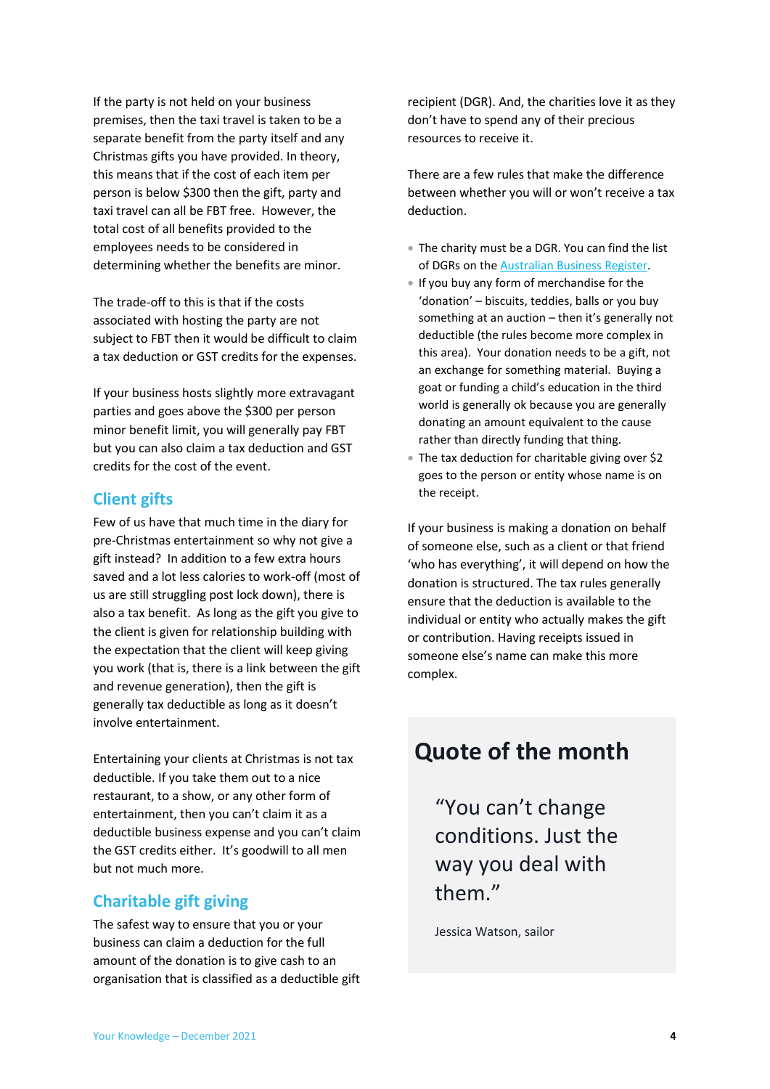If the party is not held on your business premises, then the taxi travel is taken to be a separate benefit from the party itself and any Christmas gifts you have provided. In theory, this means that if the cost of each item per person is below \$300 then the gift, party and taxi travel can all be FBT free. However, the total cost of all benefits provided to the employees needs to be considered in determining whether the benefits are minor.

The trade-off to this is that if the costs associated with hosting the party are not subject to FBT then it would be difficult to claim a tax deduction or GST credits for the expenses.

If your business hosts slightly more extravagant parties and goes above the \$300 per person minor benefit limit, you will generally pay FBT but you can also claim a tax deduction and GST credits for the cost of the event.

## **Client gifts**

Few of us have that much time in the diary for pre-Christmas entertainment so why not give a gift instead? In addition to a few extra hours saved and a lot less calories to work-off (most of us are still struggling post lock down), there is also a tax benefit. As long as the gift you give to the client is given for relationship building with the expectation that the client will keep giving you work (that is, there is a link between the gift and revenue generation), then the gift is generally tax deductible as long as it doesn't involve entertainment.

Entertaining your clients at Christmas is not tax deductible. If you take them out to a nice restaurant, to a show, or any other form of entertainment, then you can't claim it as a deductible business expense and you can't claim the GST credits either. It's goodwill to all men but not much more.

# **Charitable gift giving**

The safest way to ensure that you or your business can claim a deduction for the full amount of the donation is to give cash to an organisation that is classified as a deductible gift recipient (DGR). And, the charities love it as they don't have to spend any of their precious resources to receive it.

There are a few rules that make the difference between whether you will or won't receive a tax deduction.

- The charity must be a DGR. You can find the list of DGRs on the Australian Business Register.
- If you buy any form of merchandise for the 'donation' – biscuits, teddies, balls or you buy something at an auction – then it's generally not deductible (the rules become more complex in this area). Your donation needs to be a gift, not an exchange for something material. Buying a goat or funding a child's education in the third world is generally ok because you are generally donating an amount equivalent to the cause rather than directly funding that thing.
- The tax deduction for charitable giving over \$2 goes to the person or entity whose name is on the receipt.

If your business is making a donation on behalf of someone else, such as a client or that friend 'who has everything', it will depend on how the donation is structured. The tax rules generally ensure that the deduction is available to the individual or entity who actually makes the gift or contribution. Having receipts issued in someone else's name can make this more complex.

# **Quote of the month**

"You can't change conditions. Just the way you deal with them."

Jessica Watson, sailor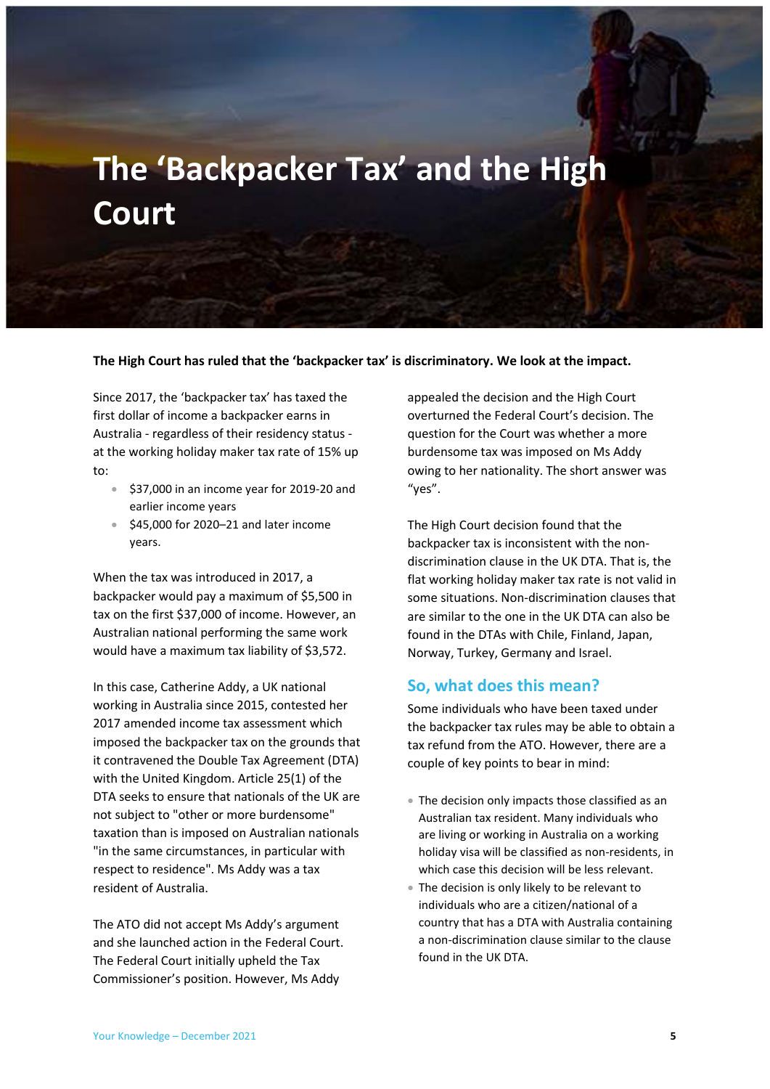# **The 'Backpacker Tax' and the High Court**

**The High Court has ruled that the 'backpacker tax' is discriminatory. We look at the impact.** 

Since 2017, the 'backpacker tax' has taxed the first dollar of income a backpacker earns in Australia - regardless of their residency status at the working holiday maker tax rate of 15% up to:

- $\div$  \$37,000 in an income year for 2019-20 and earlier income years
- $\div$  \$45,000 for 2020–21 and later income years.

When the tax was introduced in 2017, a backpacker would pay a maximum of \$5,500 in tax on the first \$37,000 of income. However, an Australian national performing the same work would have a maximum tax liability of \$3,572.

In this case, Catherine Addy, a UK national working in Australia since 2015, contested her 2017 amended income tax assessment which imposed the backpacker tax on the grounds that it contravened the Double Tax Agreement (DTA) with the United Kingdom. Article 25(1) of the DTA seeks to ensure that nationals of the UK are not subject to "other or more burdensome" taxation than is imposed on Australian nationals "in the same circumstances, in particular with respect to residence". Ms Addy was a tax resident of Australia.

The ATO did not accept Ms Addy's argument and she launched action in the Federal Court. The Federal Court initially upheld the Tax Commissioner's position. However, Ms Addy

appealed the decision and the High Court overturned the Federal Court's decision. The question for the Court was whether a more burdensome tax was imposed on Ms Addy owing to her nationality. The short answer was "yes".

The High Court decision found that the backpacker tax is inconsistent with the nondiscrimination clause in the UK DTA. That is, the flat working holiday maker tax rate is not valid in some situations. Non-discrimination clauses that are similar to the one in the UK DTA can also be found in the DTAs with Chile, Finland, Japan, Norway, Turkey, Germany and Israel.

## **So, what does this mean?**

Some individuals who have been taxed under the backpacker tax rules may be able to obtain a tax refund from the ATO. However, there are a couple of key points to bear in mind:

- The decision only impacts those classified as an Australian tax resident. Many individuals who are living or working in Australia on a working holiday visa will be classified as non-residents, in which case this decision will be less relevant.
- The decision is only likely to be relevant to individuals who are a citizen/national of a country that has a DTA with Australia containing a non-discrimination clause similar to the clause found in the UK DTA.